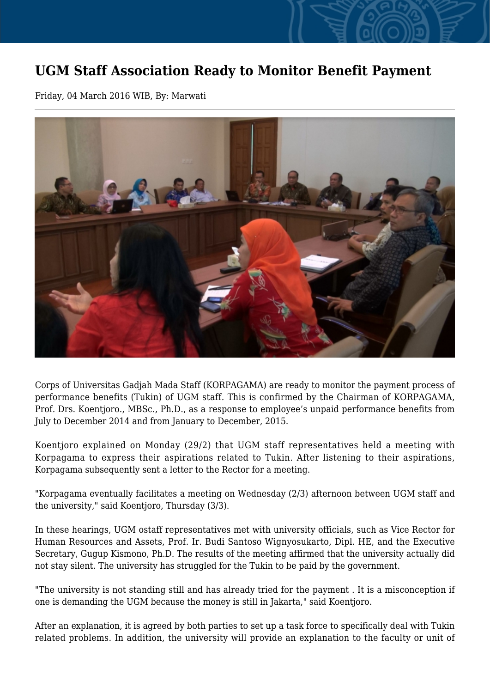## **UGM Staff Association Ready to Monitor Benefit Payment**

Friday, 04 March 2016 WIB, By: Marwati



Corps of Universitas Gadjah Mada Staff (KORPAGAMA) are ready to monitor the payment process of performance benefits (Tukin) of UGM staff. This is confirmed by the Chairman of KORPAGAMA, Prof. Drs. Koentjoro., MBSc., Ph.D., as a response to employee's unpaid performance benefits from July to December 2014 and from January to December, 2015.

Koentjoro explained on Monday (29/2) that UGM staff representatives held a meeting with Korpagama to express their aspirations related to Tukin. After listening to their aspirations, Korpagama subsequently sent a letter to the Rector for a meeting.

"Korpagama eventually facilitates a meeting on Wednesday (2/3) afternoon between UGM staff and the university," said Koentjoro, Thursday (3/3).

In these hearings, UGM ostaff representatives met with university officials, such as Vice Rector for Human Resources and Assets, Prof. Ir. Budi Santoso Wignyosukarto, Dipl. HE, and the Executive Secretary, Gugup Kismono, Ph.D. The results of the meeting affirmed that the university actually did not stay silent. The university has struggled for the Tukin to be paid by the government.

"The university is not standing still and has already tried for the payment . It is a misconception if one is demanding the UGM because the money is still in Jakarta," said Koentjoro.

After an explanation, it is agreed by both parties to set up a task force to specifically deal with Tukin related problems. In addition, the university will provide an explanation to the faculty or unit of